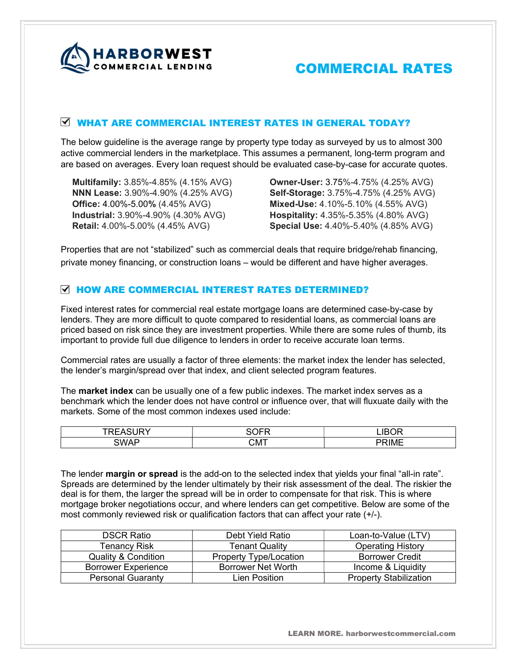

# COMMERCIAL LENDING **COMMERCIAL RATES**

## WHAT ARE COMMERCIAL INTEREST RATES IN GENERAL TODAY?

The below guideline is the average range by property type today as surveyed by us to almost 300 active commercial lenders in the marketplace. This assumes a permanent, long-term program and are based on averages. Every loan request should be evaluated case-by-case for accurate quotes.

Multifamily: 3.85%-4.85% (4.15% AVG) NNN Lease: 3.90%-4.90% (4.25% AVG) Office: 4.00%-5.00% (4.45% AVG) Industrial: 3.90%-4.90% (4.30% AVG) Retail: 4.00%-5.00% (4.45% AVG)

Owner-User: 3.75%-4.75% (4.25% AVG) Self-Storage: 3.75%-4.75% (4.25% AVG) Mixed-Use: 4.10%-5.10% (4.55% AVG) Hospitality: 4.35%-5.35% (4.80% AVG) Special Use: 4.40%-5.40% (4.85% AVG)

Properties that are not "stabilized" such as commercial deals that require bridge/rehab financing, private money financing, or construction loans – would be different and have higher averages.

### **M HOW ARE COMMERCIAL INTEREST RATES DETERMINED?**

Fixed interest rates for commercial real estate mortgage loans are determined case-by-case by lenders. They are more difficult to quote compared to residential loans, as commercial loans are priced based on risk since they are investment properties. While there are some rules of thumb, its important to provide full due diligence to lenders in order to receive accurate loan terms.

Commercial rates are usually a factor of three elements: the market index the lender has selected, the lender's margin/spread over that index, and client selected program features.

The **market index** can be usually one of a few public indexes. The market index serves as a benchmark which the lender does not have control or influence over, that will fluxuate daily with the markets. Some of the most common indexes used include:

| $\sim$ $\sim$ $\sim$<br>-<br>-- | --  | <b>IROR</b>                                  |
|---------------------------------|-----|----------------------------------------------|
| <b>SWAF</b>                     | СМТ | $\sim$ 18 $\mu$ $\sim$<br>$\mathbf{H}$<br>™∟ |

The lender **margin or spread** is the add-on to the selected index that yields your final "all-in rate". Spreads are determined by the lender ultimately by their risk assessment of the deal. The riskier the deal is for them, the larger the spread will be in order to compensate for that risk. This is where mortgage broker negotiations occur, and where lenders can get competitive. Below are some of the most commonly reviewed risk or qualification factors that can affect your rate (+/-).

| <b>DSCR Ratio</b>              | Debt Yield Ratio              | Loan-to-Value (LTV)           |
|--------------------------------|-------------------------------|-------------------------------|
| Tenancy Risk                   | <b>Tenant Quality</b>         | <b>Operating History</b>      |
| <b>Quality &amp; Condition</b> | <b>Property Type/Location</b> | <b>Borrower Credit</b>        |
| <b>Borrower Experience</b>     | Borrower Net Worth            | Income & Liquidity            |
| <b>Personal Guaranty</b>       | Lien Position                 | <b>Property Stabilization</b> |